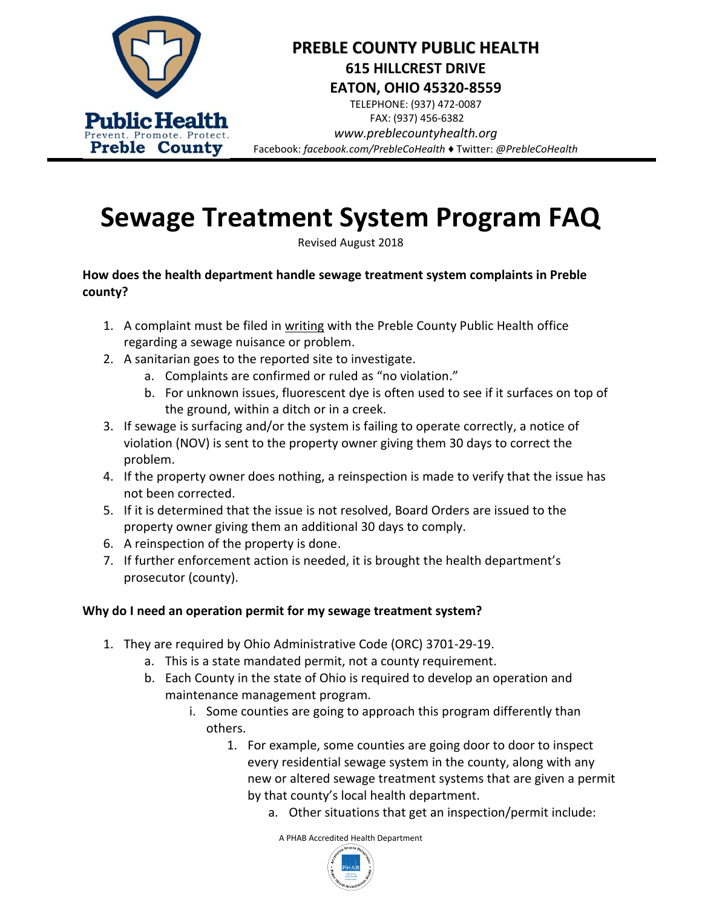

# **PREBLE COUNTY PUBLIC HEALTH 615 HILLCREST DRIVE EATON, OHIO 45320-8559**

TELEPHONE: (937) 472-0087 FAX: (937) 456-6382 *www.preblecountyhealth.org* Facebook: *facebook.com/PrebleCoHealth ♦* Twitter: *@PrebleCoHealth*

# **Sewage Treatment System Program FAQ**

Revised August 2018

## **How does the health department handle sewage treatment system complaints in Preble county?**

- 1. A complaint must be filed in writing with the Preble County Public Health office regarding a sewage nuisance or problem.
- 2. A sanitarian goes to the reported site to investigate.
	- a. Complaints are confirmed or ruled as "no violation."
	- b. For unknown issues, fluorescent dye is often used to see if it surfaces on top of the ground, within a ditch or in a creek.
- 3. If sewage is surfacing and/or the system is failing to operate correctly, a notice of violation (NOV) is sent to the property owner giving them 30 days to correct the problem.
- 4. If the property owner does nothing, a reinspection is made to verify that the issue has not been corrected.
- 5. If it is determined that the issue is not resolved, Board Orders are issued to the property owner giving them an additional 30 days to comply.
- 6. A reinspection of the property is done.
- 7. If further enforcement action is needed, it is brought the health department's prosecutor (county).

## **Why do I need an operation permit for my sewage treatment system?**

- 1. They are required by Ohio Administrative Code (ORC) 3701-29-19.
	- a. This is a state mandated permit, not a county requirement.
	- b. Each County in the state of Ohio is required to develop an operation and maintenance management program.
		- i. Some counties are going to approach this program differently than others.
			- 1. For example, some counties are going door to door to inspect every residential sewage system in the county, along with any new or altered sewage treatment systems that are given a permit by that county's local health department.
				- a. Other situations that get an inspection/permit include:

A PHAB Accredited Health Department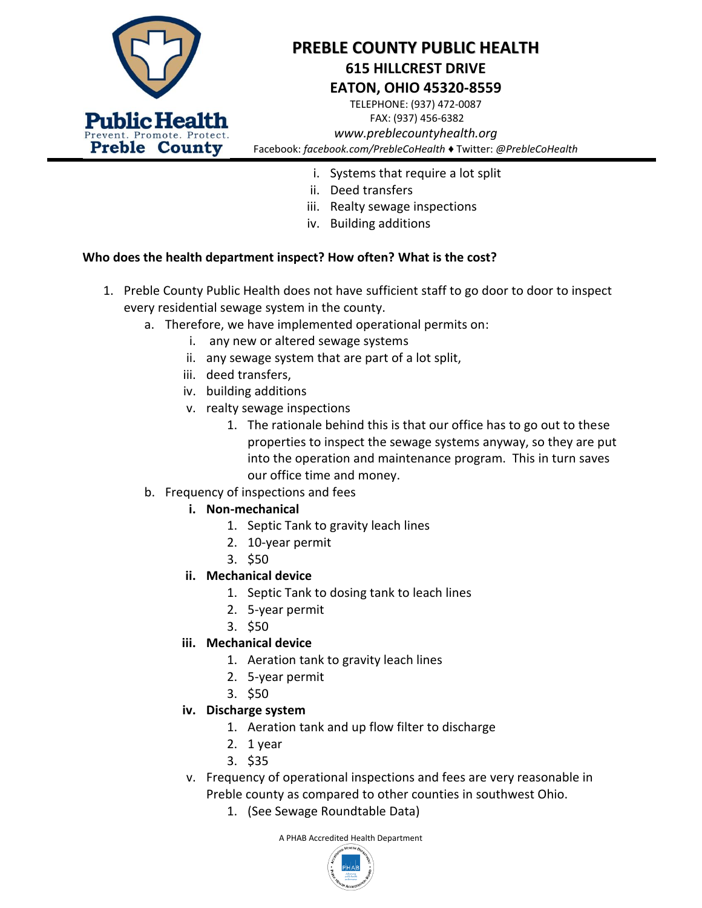

# **PREBLE COUNTY PUBLIC HEALTH 615 HILLCREST DRIVE EATON, OHIO 45320-8559**

TELEPHONE: (937) 472-0087 FAX: (937) 456-6382 *www.preblecountyhealth.org* Facebook: *facebook.com/PrebleCoHealth ♦* Twitter: *@PrebleCoHealth*

- i. Systems that require a lot split
- ii. Deed transfers
- iii. Realty sewage inspections
- iv. Building additions

#### **Who does the health department inspect? How often? What is the cost?**

- 1. Preble County Public Health does not have sufficient staff to go door to door to inspect every residential sewage system in the county.
	- a. Therefore, we have implemented operational permits on:
		- i. any new or altered sewage systems
		- ii. any sewage system that are part of a lot split,
		- iii. deed transfers,
		- iv. building additions
		- v. realty sewage inspections
			- 1. The rationale behind this is that our office has to go out to these properties to inspect the sewage systems anyway, so they are put into the operation and maintenance program. This in turn saves our office time and money.
	- b. Frequency of inspections and fees

#### **i. Non-mechanical**

- 1. Septic Tank to gravity leach lines
- 2. 10-year permit
- 3. \$50

#### **ii. Mechanical device**

- 1. Septic Tank to dosing tank to leach lines
- 2. 5-year permit
- 3. \$50

#### **iii. Mechanical device**

- 1. Aeration tank to gravity leach lines
- 2. 5-year permit
- 3. \$50

#### **iv. Discharge system**

- 1. Aeration tank and up flow filter to discharge
- 2. 1 year
- 3. \$35
- v. Frequency of operational inspections and fees are very reasonable in Preble county as compared to other counties in southwest Ohio.
	- 1. (See Sewage Roundtable Data)

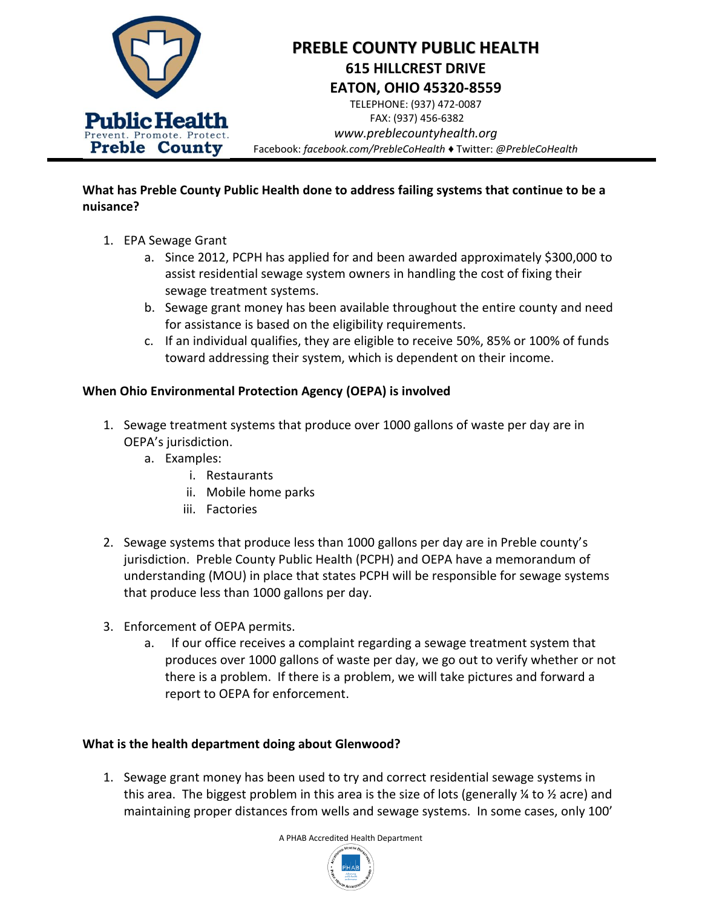

**What has Preble County Public Health done to address failing systems that continue to be a nuisance?**

- 1. EPA Sewage Grant
	- a. Since 2012, PCPH has applied for and been awarded approximately \$300,000 to assist residential sewage system owners in handling the cost of fixing their sewage treatment systems.
	- b. Sewage grant money has been available throughout the entire county and need for assistance is based on the eligibility requirements.
	- c. If an individual qualifies, they are eligible to receive 50%, 85% or 100% of funds toward addressing their system, which is dependent on their income.

### **When Ohio Environmental Protection Agency (OEPA) is involved**

- 1. Sewage treatment systems that produce over 1000 gallons of waste per day are in OEPA's jurisdiction.
	- a. Examples:
		- i. Restaurants
		- ii. Mobile home parks
		- iii. Factories
- 2. Sewage systems that produce less than 1000 gallons per day are in Preble county's jurisdiction. Preble County Public Health (PCPH) and OEPA have a memorandum of understanding (MOU) in place that states PCPH will be responsible for sewage systems that produce less than 1000 gallons per day.
- 3. Enforcement of OEPA permits.
	- a. If our office receives a complaint regarding a sewage treatment system that produces over 1000 gallons of waste per day, we go out to verify whether or not there is a problem. If there is a problem, we will take pictures and forward a report to OEPA for enforcement.

#### **What is the health department doing about Glenwood?**

1. Sewage grant money has been used to try and correct residential sewage systems in this area. The biggest problem in this area is the size of lots (generally  $\frac{1}{4}$  to  $\frac{1}{2}$  acre) and maintaining proper distances from wells and sewage systems. In some cases, only 100'